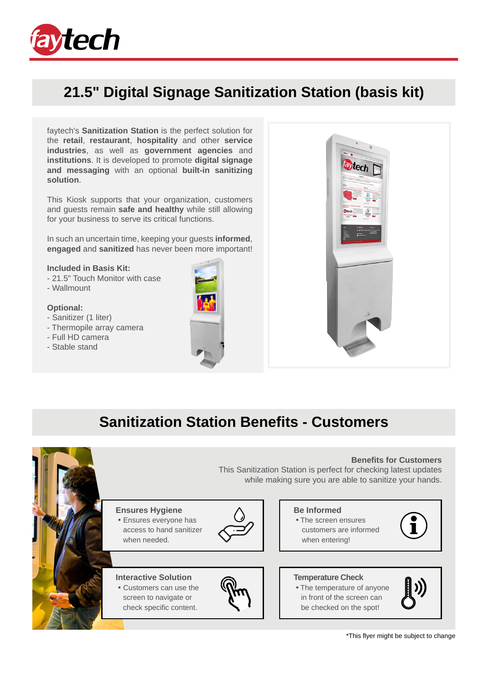

## **21.5" Digital Signage Sanitization Station (basis kit)**

faytech's **Sanitization Station** is the perfect solution for the **retail**, **restaurant**, **hospitality** and other **service industries**, as well as **government agencies** and **institutions**. It is developed to promote **digital signage and messaging** with an optional **built-in sanitizing solution**.

This Kiosk supports that your organization, customers and guests remain **safe and healthy** while still allowing for your business to serve its critical functions.

In such an uncertain time, keeping your guests **informed**, **engaged** and **sanitized** has never been more important!

#### **Included in Basis Kit:**

- 21.5" Touch Monitor with case
- Wallmount

#### **Optional:**

- Sanitizer (1 liter)
- Thermopile array camera
- Full HD camera
- Stable stand





## **Sanitization Station Benefits - Customers**



\*This flyer might be subject to change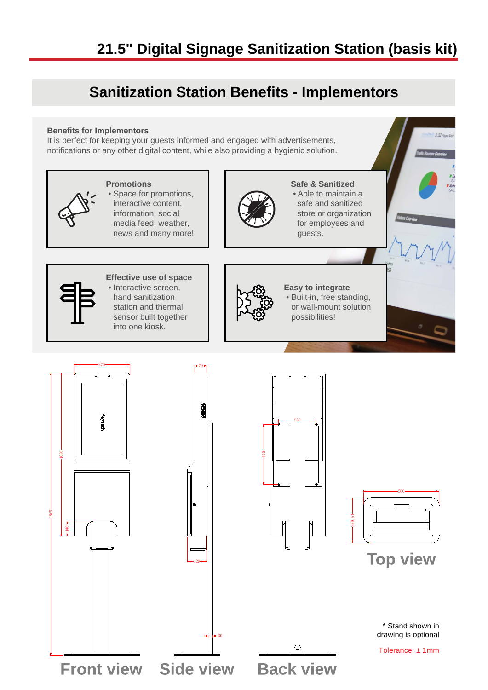## **21.5" Digital Signage Sanitization Station (basis kit)**

## **Sanitization Station Benefits - Implementors**

#### **Benefits for Implementors**

It is perfect for keeping your guests informed and engaged with advertisements, notifications or any other digital content, while also providing a hygienic solution.

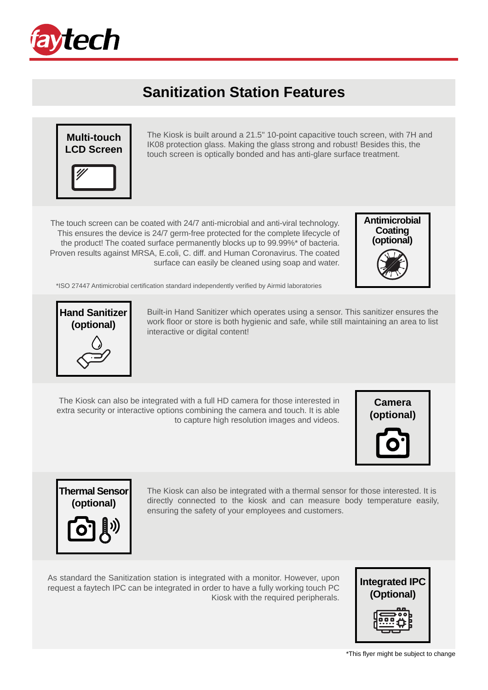

### **Sanitization Station Features**



The Kiosk is built around a 21.5" 10-point capacitive touch screen, with 7H and IK08 protection glass. Making the glass strong and robust! Besides this, the touch screen is optically bonded and has anti-glare surface treatment.

The touch screen can be coated with 24/7 anti-microbial and anti-viral technology. This ensures the device is 24/7 germ-free protected for the complete lifecycle of the product! The coated surface permanently blocks up to 99.99%\* of bacteria. Proven results against MRSA, E.coli, C. diff. and Human Coronavirus. The coated surface can easily be cleaned using soap and water.



\*ISO 27447 Antimicrobial certification standard independently verified by Airmid laboratories



Built-in Hand Sanitizer which operates using a sensor. This sanitizer ensures the work floor or store is both hygienic and safe, while still maintaining an area to list interactive or digital content!

The Kiosk can also be integrated with a full HD camera for those interested in extra security or interactive options combining the camera and touch. It is able to capture high resolution images and videos.





The Kiosk can also be integrated with a thermal sensor for those interested. It is directly connected to the kiosk and can measure body temperature easily, ensuring the safety of your employees and customers.

As standard the Sanitization station is integrated with a monitor. However, upon request a faytech IPC can be integrated in order to have a fully working touch PC Kiosk with the required peripherals.

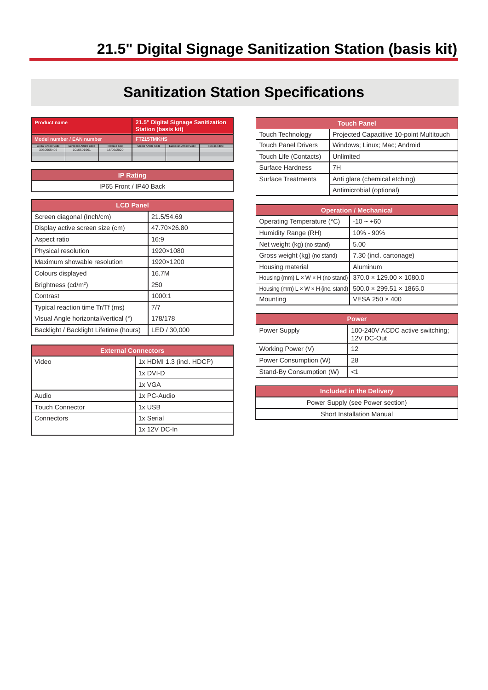# **21.5" Digital Signage Sanitization Station (basis kit)**

## **Sanitization Station Specifications**

| <b>Product name</b>        |                       | 21.5" Digital Signage Sanitization<br><b>Station (basis kit)</b> |                            |                              |              |
|----------------------------|-----------------------|------------------------------------------------------------------|----------------------------|------------------------------|--------------|
| Model number / EAN number  |                       | <b>FT215TMKHS</b>                                                |                            |                              |              |
| <b>Global Article Code</b> | European Article Code | <b>Release date</b>                                              | <b>Global Article Code</b> | <b>European Article Code</b> | Release date |
| 3030505405                 | 1010501961            | 16/05/2020                                                       |                            |                              |              |
|                            |                       |                                                                  |                            |                              |              |
|                            |                       |                                                                  |                            |                              |              |
|                            |                       |                                                                  |                            |                              |              |

| <b>IP Rating</b>       |  |
|------------------------|--|
| IP65 Front / IP40 Back |  |
|                        |  |

| <b>LCD Panel</b>                       |              |  |
|----------------------------------------|--------------|--|
| Screen diagonal (Inch/cm)              | 21.5/54.69   |  |
| Display active screen size (cm)        | 47.70×26.80  |  |
| Aspect ratio                           | 16:9         |  |
| Physical resolution                    | 1920×1080    |  |
| Maximum showable resolution            | 1920×1200    |  |
| Colours displayed                      | 16.7M        |  |
| Brightness (cd/m <sup>2</sup> )        | 250          |  |
| Contrast                               | 1000:1       |  |
| Typical reaction time Tr/Tf (ms)       | 7/7          |  |
| Visual Angle horizontal/vertical (°)   | 178/178      |  |
| Backlight / Backlight Lifetime (hours) | LED / 30,000 |  |

| <b>External Connectors</b> |                          |  |
|----------------------------|--------------------------|--|
| Video                      | 1x HDMI 1.3 (incl. HDCP) |  |
|                            | 1x DVI-D                 |  |
|                            | 1x VGA                   |  |
| Audio                      | 1x PC-Audio              |  |
| <b>Touch Connector</b>     | 1x USB                   |  |
| <b>Connectors</b>          | 1x Serial                |  |
|                            | 1x 12V DC-In             |  |

| <b>Touch Panel</b>         |                                          |  |
|----------------------------|------------------------------------------|--|
| Touch Technology           | Projected Capacitive 10-point Multitouch |  |
| <b>Touch Panel Drivers</b> | Windows: Linux: Mac: Android             |  |
| Touch Life (Contacts)      | Unlimited                                |  |
| Surface Hardness           | 7Н                                       |  |
| <b>Surface Treatments</b>  | Anti glare (chemical etching)            |  |
|                            | Antimicrobial (optional)                 |  |

| <b>Operation / Mechanical</b>                   |                                     |  |
|-------------------------------------------------|-------------------------------------|--|
| Operating Temperature (°C)                      | $-10 - +60$                         |  |
| Humidity Range (RH)                             | 10% - 90%                           |  |
| Net weight (kg) (no stand)                      | 5.00                                |  |
| Gross weight (kg) (no stand)                    | 7.30 (incl. cartonage)              |  |
| Housing material                                | Aluminum                            |  |
| Housing (mm) $L \times W \times H$ (no stand)   | $370.0 \times 129.00 \times 1080.0$ |  |
| Housing (mm) $L \times W \times H$ (inc. stand) | $500.0 \times 299.51 \times 1865.0$ |  |
| Mounting                                        | VESA 250 × 400                      |  |

| <b>Power</b>             |                                               |  |
|--------------------------|-----------------------------------------------|--|
| Power Supply             | 100-240V ACDC active switching;<br>12V DC-Out |  |
| Working Power (V)        | 12                                            |  |
| Power Consumption (W)    | 28                                            |  |
| Stand-By Consumption (W) | $<$ 1                                         |  |

| <b>Included in the Delivery</b>  |
|----------------------------------|
| Power Supply (see Power section) |
| <b>Short Installation Manual</b> |